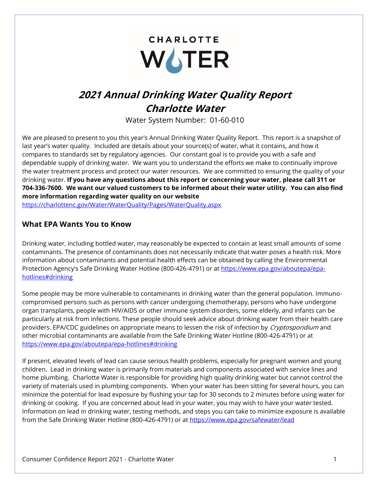# **CHARLOTTE** WOTER

# **2021 Annual Drinking Water Quality Report Charlotte Water**

Water System Number: 01-60-010

We are pleased to present to you this year's Annual Drinking Water Quality Report. This report is a snapshot of last year's water quality. Included are details about your source(s) of water, what it contains, and how it compares to standards set by regulatory agencies. Our constant goal is to provide you with a safe and dependable supply of drinking water. We want you to understand the efforts we make to continually improve the water treatment process and protect our water resources. We are committed to ensuring the quality of your drinking water. **If you have any questions about this report or concerning your water, please call 311 or 704-336-7600. We want our valued customers to be informed about their water utility. You can also find more information regarding water quality on our website** 

<https://charlottenc.gov/Water/WaterQuality/Pages/WaterQuality.aspx>

#### **What EPA Wants You to Know**

Drinking water, including bottled water, may reasonably be expected to contain at least small amounts of some contaminants. The presence of contaminants does not necessarily indicate that water poses a health risk. More information about contaminants and potential health effects can be obtained by calling the Environmental Protection Agency's Safe Drinking Water Hotline (800-426-4791) or at [https://www.epa.gov/aboutepa/epa](https://www.epa.gov/aboutepa/epa-hotlines#drinking)[hotlines#drinking](https://www.epa.gov/aboutepa/epa-hotlines#drinking)

Some people may be more vulnerable to contaminants in drinking water than the general population. Immunocompromised persons such as persons with cancer undergoing chemotherapy, persons who have undergone organ transplants, people with HIV/AIDS or other immune system disorders, some elderly, and infants can be particularly at risk from infections. These people should seek advice about drinking water from their health care providers. EPA/CDC guidelines on appropriate means to lessen the risk of infection by Cryptosporidium and other microbial contaminants are available from the Safe Drinking Water Hotline (800-426-4791) or at <https://www.epa.gov/aboutepa/epa-hotlines#drinking>

If present, elevated levels of lead can cause serious health problems, especially for pregnant women and young children. Lead in drinking water is primarily from materials and components associated with service lines and home plumbing. Charlotte Water is responsible for providing high quality drinking water but cannot control the variety of materials used in plumbing components. When your water has been sitting for several hours, you can minimize the potential for lead exposure by flushing your tap for 30 seconds to 2 minutes before using water for drinking or cooking. If you are concerned about lead in your water, you may wish to have your water tested. Information on lead in drinking water, testing methods, and steps you can take to minimize exposure is available from the Safe Drinking Water Hotline (800-426-4791) or at<https://www.epa.gov/safewater/lead>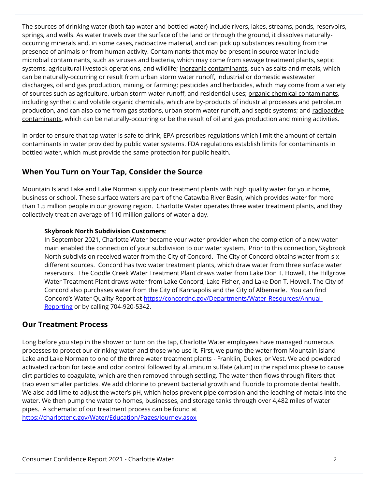The sources of drinking water (both tap water and bottled water) include rivers, lakes, streams, ponds, reservoirs, springs, and wells. As water travels over the surface of the land or through the ground, it dissolves naturallyoccurring minerals and, in some cases, radioactive material, and can pick up substances resulting from the presence of animals or from human activity. Contaminants that may be present in source water include microbial contaminants, such as viruses and bacteria, which may come from sewage treatment plants, septic systems, agricultural livestock operations, and wildlife; inorganic contaminants, such as salts and metals, which can be naturally-occurring or result from urban storm water runoff, industrial or domestic wastewater discharges, oil and gas production, mining, or farming; pesticides and herbicides, which may come from a variety of sources such as agriculture, urban storm water runoff, and residential uses; organic chemical contaminants, including synthetic and volatile organic chemicals, which are by-products of industrial processes and petroleum production, and can also come from gas stations, urban storm water runoff, and septic systems; and radioactive contaminants, which can be naturally-occurring or be the result of oil and gas production and mining activities.

In order to ensure that tap water is safe to drink, EPA prescribes regulations which limit the amount of certain contaminants in water provided by public water systems. FDA regulations establish limits for contaminants in bottled water, which must provide the same protection for public health.

#### **When You Turn on Your Tap, Consider the Source**

Mountain Island Lake and Lake Norman supply our treatment plants with high quality water for your home, business or school. These surface waters are part of the Catawba River Basin, which provides water for more than 1.5 million people in our growing region. Charlotte Water operates three water treatment plants, and they collectively treat an average of 110 million gallons of water a day.

#### **Skybrook North Subdivision Customers**:

In September 2021, Charlotte Water became your water provider when the completion of a new water main enabled the connection of your subdivision to our water system. Prior to this connection, Skybrook North subdivision received water from the City of Concord. The City of Concord obtains water from six different sources. Concord has two water treatment plants, which draw water from three surface water reservoirs. The Coddle Creek Water Treatment Plant draws water from Lake Don T. Howell. The Hillgrove Water Treatment Plant draws water from Lake Concord, Lake Fisher, and Lake Don T. Howell. The City of Concord also purchases water from the City of Kannapolis and the City of Albemarle. You can find Concord's Water Quality Report at [https://concordnc.gov/Departments/Water-Resources/Annual-](https://concordnc.gov/Departments/Water-Resources/Annual-Reporting)[Reporting](https://concordnc.gov/Departments/Water-Resources/Annual-Reporting) or by calling 704-920-5342.

#### **Our Treatment Process**

Long before you step in the shower or turn on the tap, Charlotte Water employees have managed numerous processes to protect our drinking water and those who use it. First, we pump the water from Mountain Island Lake and Lake Norman to one of the three water treatment plants - Franklin, Dukes, or Vest. We add powdered activated carbon for taste and odor control followed by aluminum sulfate (alum) in the rapid mix phase to cause dirt particles to coagulate, which are then removed through settling. The water then flows through filters that trap even smaller particles. We add chlorine to prevent bacterial growth and fluoride to promote dental health. We also add lime to adjust the water's pH, which helps prevent pipe corrosion and the leaching of metals into the water. We then pump the water to homes, businesses, and storage tanks through over 4,482 miles of water pipes. A schematic of our treatment process can be found at <https://charlottenc.gov/Water/Education/Pages/Journey.aspx>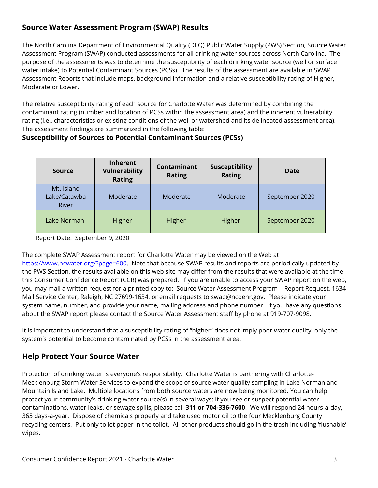### **Source Water Assessment Program (SWAP) Results**

The North Carolina Department of Environmental Quality (DEQ) Public Water Supply (PWS) Section, Source Water Assessment Program (SWAP) conducted assessments for all drinking water sources across North Carolina. The purpose of the assessments was to determine the susceptibility of each drinking water source (well or surface water intake) to Potential Contaminant Sources (PCSs). The results of the assessment are available in SWAP Assessment Reports that include maps, background information and a relative susceptibility rating of Higher, Moderate or Lower.

The relative susceptibility rating of each source for Charlotte Water was determined by combining the contaminant rating (number and location of PCSs within the assessment area) and the inherent vulnerability rating (i.e., characteristics or existing conditions of the well or watershed and its delineated assessment area). The assessment findings are summarized in the following table:

#### **Susceptibility of Sources to Potential Contaminant Sources (PCSs)**

| Source                              | <b>Inherent</b><br><b>Vulnerability</b><br><b>Rating</b> | Contaminant<br><b>Rating</b> | Susceptibility<br><b>Rating</b> | Date           |
|-------------------------------------|----------------------------------------------------------|------------------------------|---------------------------------|----------------|
| Mt. Island<br>Lake/Catawba<br>River | Moderate                                                 | Moderate                     | Moderate                        | September 2020 |
| Lake Norman                         | Higher                                                   | Higher                       | Higher                          | September 2020 |

Report Date: September 9, 2020

The complete SWAP Assessment report for Charlotte Water may be viewed on the Web at

[https://www.ncwater.org/?page=600.](https://www.ncwater.org/?page=600) Note that because SWAP results and reports are periodically updated by the PWS Section, the results available on this web site may differ from the results that were available at the time this Consumer Confidence Report (CCR) was prepared. If you are unable to access your SWAP report on the web, you may mail a written request for a printed copy to: Source Water Assessment Program – Report Request, 1634 Mail Service Center, Raleigh, NC 27699-1634, or email requests to swap@ncdenr.gov. Please indicate your system name, number, and provide your name, mailing address and phone number. If you have any questions about the SWAP report please contact the Source Water Assessment staff by phone at 919-707-9098.

It is important to understand that a susceptibility rating of "higher" does not imply poor water quality, only the system's potential to become contaminated by PCSs in the assessment area.

### **Help Protect Your Source Water**

Protection of drinking water is everyone's responsibility. Charlotte Water is partnering with Charlotte-Mecklenburg Storm Water Services to expand the scope of source water quality sampling in Lake Norman and Mountain Island Lake. Multiple locations from both source waters are now being monitored. You can help protect your community's drinking water source(s) in several ways: If you see or suspect potential water contaminations, water leaks, or sewage spills, please call **311 or 704-336-7600**. We will respond 24 hours-a-day, 365 days-a-year. Dispose of chemicals properly and take used motor oil to the four Mecklenburg County recycling centers. Put only toilet paper in the toilet. All other products should go in the trash including 'flushable' wipes.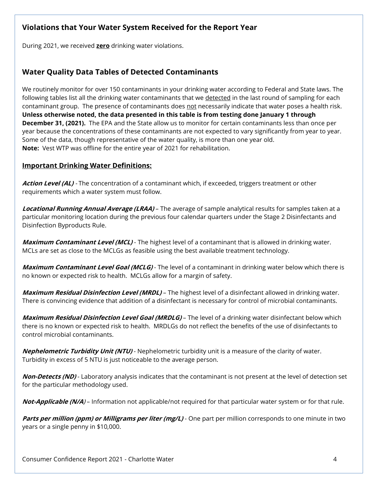### **Violations that Your Water System Received for the Report Year**

During 2021, we received **zero** drinking water violations.

#### **Water Quality Data Tables of Detected Contaminants**

We routinely monitor for over 150 contaminants in your drinking water according to Federal and State laws. The following tables list all the drinking water contaminants that we detected in the last round of sampling for each contaminant group. The presence of contaminants does not necessarily indicate that water poses a health risk. **Unless otherwise noted, the data presented in this table is from testing done January 1 through December 31, (2021).** The EPA and the State allow us to monitor for certain contaminants less than once per year because the concentrations of these contaminants are not expected to vary significantly from year to year. Some of the data, though representative of the water quality, is more than one year old. **Note:** Vest WTP was offline for the entire year of 2021 for rehabilitation.

#### **Important Drinking Water Definitions:**

**Action Level (AL)** - The concentration of a contaminant which, if exceeded, triggers treatment or other requirements which a water system must follow.

**Locational Running Annual Average (LRAA)** – The average of sample analytical results for samples taken at a particular monitoring location during the previous four calendar quarters under the Stage 2 Disinfectants and Disinfection Byproducts Rule.

**Maximum Contaminant Level (MCL)** - The highest level of a contaminant that is allowed in drinking water. MCLs are set as close to the MCLGs as feasible using the best available treatment technology.

**Maximum Contaminant Level Goal (MCLG)** - The level of a contaminant in drinking water below which there is no known or expected risk to health. MCLGs allow for a margin of safety.

**Maximum Residual Disinfection Level (MRDL)** – The highest level of a disinfectant allowed in drinking water. There is convincing evidence that addition of a disinfectant is necessary for control of microbial contaminants.

**Maximum Residual Disinfection Level Goal (MRDLG)** – The level of a drinking water disinfectant below which there is no known or expected risk to health. MRDLGs do not reflect the benefits of the use of disinfectants to control microbial contaminants.

**Nephelometric Turbidity Unit (NTU)** - Nephelometric turbidity unit is a measure of the clarity of water. Turbidity in excess of 5 NTU is just noticeable to the average person.

**Non-Detects (ND)** - Laboratory analysis indicates that the contaminant is not present at the level of detection set for the particular methodology used.

**Not-Applicable (N/A**) – Information not applicable/not required for that particular water system or for that rule.

**Parts per million (ppm) or Milligrams per liter (mg/L)** - One part per million corresponds to one minute in two years or a single penny in \$10,000.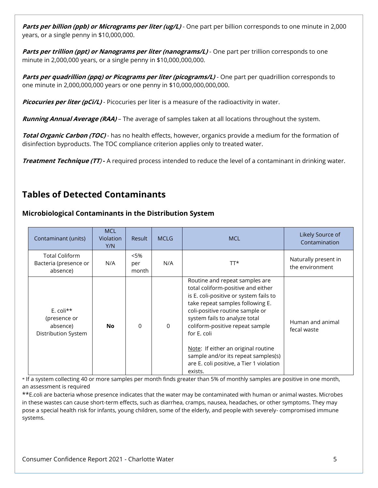**Parts per billion (ppb) or Micrograms per liter (ug/L)** - One part per billion corresponds to one minute in 2,000 years, or a single penny in \$10,000,000.

**Parts per trillion (ppt) or Nanograms per liter (nanograms/L)** - One part per trillion corresponds to one minute in 2,000,000 years, or a single penny in \$10,000,000,000.

**Parts per quadrillion (ppq) or Picograms per liter (picograms/L) - One part per quadrillion corresponds to** one minute in 2,000,000,000 years or one penny in \$10,000,000,000,000.

**Picocuries per liter (pCi/L)** - Picocuries per liter is a measure of the radioactivity in water.

**Running Annual Average (RAA)** – The average of samples taken at all locations throughout the system.

**Total Organic Carbon (TOC)** - has no health effects, however, organics provide a medium for the formation of disinfection byproducts. The TOC compliance criterion applies only to treated water.

**Treatment Technique (TT**) **-** A required process intended to reduce the level of a contaminant in drinking water.

## **Tables of Detected Contaminants**

#### **Microbiological Contaminants in the Distribution System**

| Contaminant (units)                                             | <b>MCL</b><br><b>Violation</b><br>Y/N | <b>Result</b>           | <b>MCLG</b> | <b>MCL</b>                                                                                                                                                                                                                                                                                                                                                                                                    | Likely Source of<br>Contamination       |
|-----------------------------------------------------------------|---------------------------------------|-------------------------|-------------|---------------------------------------------------------------------------------------------------------------------------------------------------------------------------------------------------------------------------------------------------------------------------------------------------------------------------------------------------------------------------------------------------------------|-----------------------------------------|
| <b>Total Coliform</b><br>Bacteria (presence or<br>absence)      | N/A                                   | $< 5\%$<br>per<br>month | N/A         | TT*                                                                                                                                                                                                                                                                                                                                                                                                           | Naturally present in<br>the environment |
| E. coli $**$<br>(presence or<br>absence)<br>Distribution System | <b>No</b>                             | $\Omega$                | $\mathbf 0$ | Routine and repeat samples are<br>total coliform-positive and either<br>is E. coli-positive or system fails to<br>take repeat samples following E.<br>coli-positive routine sample or<br>system fails to analyze total<br>coliform-positive repeat sample<br>for E. coli<br>Note: If either an original routine<br>sample and/or its repeat samples(s)<br>are E. coli positive, a Tier 1 violation<br>exists. | Human and animal<br>fecal waste         |

\* If a system collecting 40 or more samples per month finds greater than 5% of monthly samples are positive in one month, an assessment is required

\*\*E.coli are bacteria whose presence indicates that the water may be contaminated with human or animal wastes. Microbes in these wastes can cause short-term effects, such as diarrhea, cramps, nausea, headaches, or other symptoms. They may pose a special health risk for infants, young children, some of the elderly, and people with severely- compromised immune systems.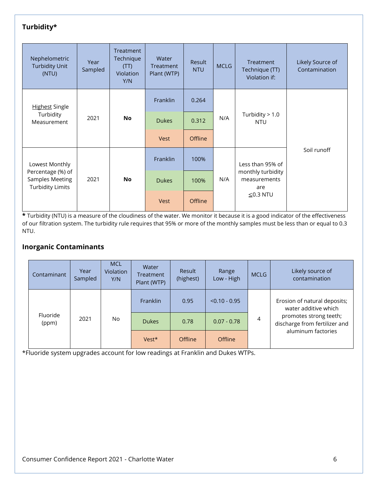### **Turbidity\***

| Nephelometric<br><b>Turbidity Unit</b><br>(NTU)                        | Year<br>Sampled | Treatment<br>Technique<br>(TT)<br>Violation<br>Y/N | Water<br>Treatment<br>Plant (WTP) | Result<br><b>NTU</b> | <b>MCLG</b> | Treatment<br>Technique (TT)<br>Violation if: | Likely Source of<br>Contamination |             |
|------------------------------------------------------------------------|-----------------|----------------------------------------------------|-----------------------------------|----------------------|-------------|----------------------------------------------|-----------------------------------|-------------|
| <b>Highest Single</b>                                                  |                 |                                                    | Franklin                          | 0.264                |             |                                              |                                   |             |
| Turbidity<br>Measurement                                               | 2021            | <b>No</b>                                          | <b>Dukes</b>                      | 0.312                | N/A         | Turbidity $> 1.0$<br><b>NTU</b>              |                                   |             |
|                                                                        |                 |                                                    | Vest                              | <b>Offline</b>       |             |                                              |                                   |             |
| Lowest Monthly                                                         |                 |                                                    |                                   | Franklin             | 100%        |                                              | Less than 95% of                  | Soil runoff |
| Percentage (%) of<br><b>Samples Meeting</b><br><b>Turbidity Limits</b> | 2021            | <b>No</b>                                          | <b>Dukes</b>                      | 100%                 | N/A         | monthly turbidity<br>measurements<br>are     |                                   |             |
|                                                                        |                 |                                                    | <b>Vest</b>                       | <b>Offline</b>       |             | $\leq$ 0.3 NTU                               |                                   |             |

**\*** Turbidity (NTU) is a measure of the cloudiness of the water. We monitor it because it is a good indicator of the effectiveness of our filtration system. The turbidity rule requires that 95% or more of the monthly samples must be less than or equal to 0.3 NTU.

#### **Inorganic Contaminants**

| Contaminant       | Year<br>Sampled | <b>MCL</b><br><b>Violation</b><br>Y/N | Water<br>Treatment<br>Plant (WTP) | Result<br>(highest) | Range<br>Low - High | <b>MCLG</b> | Likely source of<br>contamination                       |
|-------------------|-----------------|---------------------------------------|-----------------------------------|---------------------|---------------------|-------------|---------------------------------------------------------|
|                   |                 |                                       | <b>Franklin</b>                   | 0.95                | $< 0.10 - 0.95$     |             | Erosion of natural deposits;<br>water additive which    |
| Fluoride<br>(ppm) | 2021            | No.                                   | <b>Dukes</b>                      | 0.78                | $0.07 - 0.78$       | 4           | promotes strong teeth;<br>discharge from fertilizer and |
|                   |                 |                                       | Vest*                             | <b>Offline</b>      | <b>Offline</b>      |             | aluminum factories                                      |

\*Fluoride system upgrades account for low readings at Franklin and Dukes WTPs.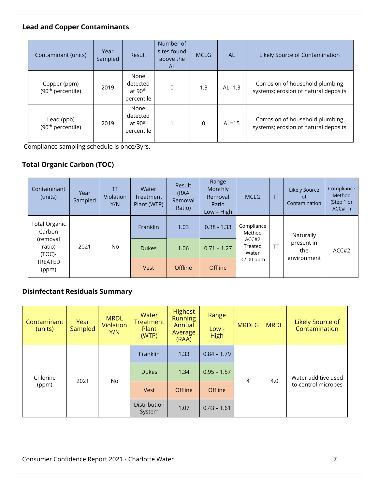#### **Lead and Copper Contaminants**

| Contaminant (units)                           | Year<br>Sampled | Result                                                | Number of<br>sites found<br>above the<br><b>AL</b> | <b>MCLG</b> | <b>AL</b> | Likely Source of Contamination                                          |
|-----------------------------------------------|-----------------|-------------------------------------------------------|----------------------------------------------------|-------------|-----------|-------------------------------------------------------------------------|
| Copper (ppm)<br>(90 <sup>th</sup> percentile) | 2019            | None<br>detected<br>at 90 <sup>th</sup><br>percentile | $\overline{0}$                                     | 1.3         | $AL=1.3$  | Corrosion of household plumbing<br>systems; erosion of natural deposits |
| Lead (ppb)<br>(90 <sup>th</sup> percentile)   | 2019            | None<br>detected<br>at 90 <sup>th</sup><br>percentile |                                                    | 0           | $AL=15$   | Corrosion of household plumbing<br>systems; erosion of natural deposits |

Compliance sampling schedule is once/3yrs.

## **Total Organic Carbon (TOC)**

| Contaminant<br>(units)          | Year<br>Sampled | TT<br><b>Violation</b><br>Y/N | Water<br>Treatment<br>Plant (WTP) | Result<br>(RAA<br>Removal<br>Ratio) | Range<br>Monthly<br>Removal<br>Ratio<br>Low - High | <b>MCLG</b>               | TΤ        | <b>Likely Source</b><br>of<br>Contamination   | Compliance<br>Method<br>(Step 1 or<br>ACC# |
|---------------------------------|-----------------|-------------------------------|-----------------------------------|-------------------------------------|----------------------------------------------------|---------------------------|-----------|-----------------------------------------------|--------------------------------------------|
| Total Organic<br>Carbon         |                 |                               | Franklin                          | 1.03                                | $0.38 - 1.33$                                      | Compliance<br>Method      |           | Naturally<br>present in<br>the<br>environment |                                            |
| (removal<br>ratio)<br>$(TOC)$ - | 2021            | No                            | <b>Dukes</b>                      | 1.06                                | $0.71 - 1.27$                                      | ACC#2<br>Treated<br>Water | <b>TT</b> |                                               | ACC#2                                      |
| TREATED<br>(ppm)                |                 |                               | <b>Vest</b>                       | Offline                             | <b>Offline</b>                                     | $<$ 2.00 ppm              |           |                                               |                                            |

#### **Disinfectant Residuals Summary**

| Contaminant<br>(units) | Year<br>Sampled | <b>MRDL</b><br><b>Violation</b><br>Y/N | Water<br><b>Treatment</b><br>Plant<br>(WTP) | <b>Highest</b><br><b>Running</b><br>Annual<br>Average<br>(RAA) | Range<br>$Low -$<br><b>High</b> | <b>MRDLG</b>   | <b>MRDL</b> | Likely Source of<br>Contamination          |
|------------------------|-----------------|----------------------------------------|---------------------------------------------|----------------------------------------------------------------|---------------------------------|----------------|-------------|--------------------------------------------|
|                        |                 | No                                     | Franklin                                    | 1.33                                                           | $0.84 - 1.79$                   | $\overline{4}$ | 4.0         | Water additive used<br>to control microbes |
| Chlorine               |                 |                                        | <b>Dukes</b>                                | 1.34                                                           | $0.95 - 1.57$                   |                |             |                                            |
| (ppm)                  | 2021            |                                        | Vest                                        | <b>Offline</b>                                                 | Offline                         |                |             |                                            |
|                        |                 |                                        | <b>Distribution</b><br>System               | 1.07                                                           | $0.43 - 1.61$                   |                |             |                                            |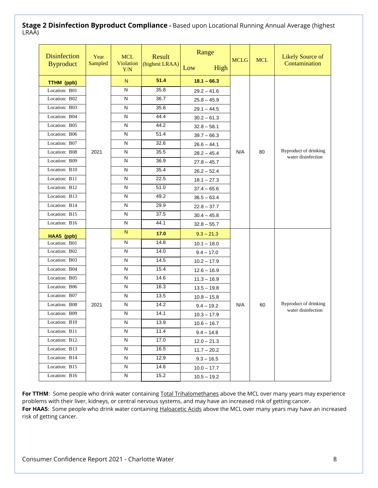#### **Stage 2 Disinfection Byproduct Compliance -** Based upon Locational Running Annual Average (highest LRAA)

| <b>Disinfection</b><br><b>Byproduct</b> | Year<br>Sampled | <b>MCL</b><br>Violation<br>Y/N | Result<br>(highest LRAA) | Range<br>Low<br>High | <b>MCLG</b> | <b>MCL</b> | <b>Likely Source of</b><br>Contamination |
|-----------------------------------------|-----------------|--------------------------------|--------------------------|----------------------|-------------|------------|------------------------------------------|
| TTHM (ppb)                              |                 | N                              | 51.4                     | $18.1 - 66.3$        |             |            |                                          |
| Location: B01                           |                 | N                              | 35.8                     | $29.2 - 41.6$        |             |            |                                          |
| Location: B02                           |                 | N                              | 36.7                     | $25.8 - 45.9$        |             |            |                                          |
| Location: B03                           |                 | N                              | 35.6                     | $29.1 - 44.5$        |             |            |                                          |
| Location: B04                           |                 | N                              | 44.4                     | $30.2 - 61.3$        |             |            |                                          |
| Location: B05                           |                 | N                              | 44.2                     | $32.8 - 58.1$        |             |            |                                          |
| Location: B06                           |                 | N                              | 51.4                     | $39.7 - 66.3$        |             |            |                                          |
| Location: B07                           |                 | N                              | 32.6                     | $26.6 - 44.1$        |             |            |                                          |
| Location: B08                           | 2021            | N                              | 35.5                     | $28.2 - 45.4$        | N/A         | 80         | <b>Byproduct of drinking</b>             |
| Location: B09                           |                 | N                              | 36.9                     | $27.8 - 45.7$        |             |            | water disinfection                       |
| Location: B10                           |                 | N                              | 35.4                     | $26.2 - 52.4$        |             |            |                                          |
| Location: B11                           |                 | $\mathsf{N}$                   | 22.5                     | $18.1 - 27.3$        |             |            |                                          |
| Location: B12                           |                 | N                              | 51.0                     | $37.4 - 65.6$        |             |            |                                          |
| Location: B13                           |                 | N                              | 49.2                     | $36.5 - 63.4$        |             |            |                                          |
| Location: B14                           |                 | N                              | 29.9                     | $22.8 - 37.7$        |             |            |                                          |
| Location: B15                           |                 | N                              | 37.5                     | $30.4 - 45.8$        |             |            |                                          |
| Location: B16                           |                 | N                              | 44.1                     | $32.8 - 55.7$        |             |            |                                          |
| HAA5 (ppb)                              |                 | N                              | 17.0                     | $9.3 - 21.3$         |             |            |                                          |
| Location: B01                           |                 | N                              | 14.8                     | $10.1 - 18.0$        |             |            |                                          |
| Location: B02                           |                 | $\mathsf{N}$                   | 14.0                     | $9.4 - 17.0$         |             |            |                                          |
| Location: B03                           |                 | N                              | 14.5                     | $10.2 - 17.9$        |             |            |                                          |
| Location: B04                           |                 | N                              | 15.4                     | $12.6 - 16.9$        |             |            |                                          |
| Location: B05                           |                 | N                              | 14.6                     | $11.3 - 16.9$        |             |            |                                          |
| Location: B06                           |                 | ${\sf N}$                      | 16.3                     | $13.5 - 19.8$        |             |            |                                          |
| Location: B07                           |                 | N                              | 13.5                     | $10.8 - 15.8$        |             |            |                                          |
| Location: B08                           | 2021            | $\mathsf{N}$                   | 14.2                     | $9.4 - 19.2$         | N/A         | 60         | <b>Byproduct of drinking</b>             |
| Location: B09                           |                 | $\mathsf{N}$                   | 14.1                     | $10.3 - 17.9$        |             |            | water disinfection                       |
| Location: B10                           |                 | N                              | 13.9                     | $10.6 - 16.7$        |             |            |                                          |
| Location: B11                           |                 | N                              | 11.4                     | $9.4 - 14.8$         |             |            |                                          |
| Location: B12                           |                 | N                              | 17.0                     | $12.0 - 21.3$        |             |            |                                          |
| Location: B13                           |                 | N                              | 16.5                     | $11.7 - 20.2$        |             |            |                                          |
| Location: B14                           |                 | N                              | 12.9                     | $9.3 - 16.5$         |             |            |                                          |
| Location: B15                           |                 | N                              | 14.6                     | $10.0 - 17.7$        |             |            |                                          |
| Location: B16                           |                 | N                              | 15.2                     | $10.5 - 19.2$        |             |            |                                          |

For TTHM: Some people who drink water containing Total Trihalomethanes above the MCL over many years may experience problems with their liver, kidneys, or central nervous systems, and may have an increased risk of getting cancer. For HAA5: Some people who drink water containing Haloacetic Acids above the MCL over many years may have an increased risk of getting cancer.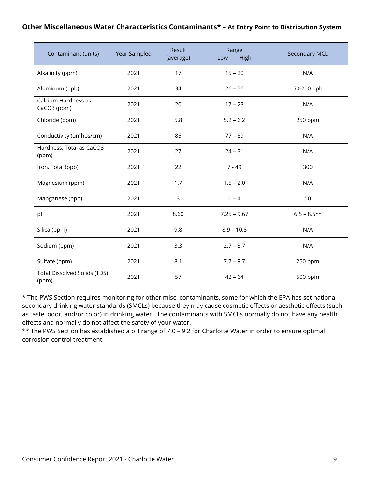#### **Other Miscellaneous Water Characteristics Contaminants\* – At Entry Point to Distribution System**

| Contaminant (units)                          | Year Sampled | Result<br>(average) | Range<br>High<br>Low | <b>Secondary MCL</b> |
|----------------------------------------------|--------------|---------------------|----------------------|----------------------|
| Alkalinity (ppm)                             | 2021         | 17                  | $15 - 20$            | N/A                  |
| Aluminum (ppb)                               | 2021         | 34                  | $26 - 56$            | 50-200 ppb           |
| Calcium Hardness as<br>CaCO3 (ppm)           | 2021         | 20                  | $17 - 23$            | N/A                  |
| Chloride (ppm)                               | 2021         | 5.8                 | $5.2 - 6.2$          | 250 ppm              |
| Conductivity (umhos/cm)                      | 2021         | 85                  | $77 - 89$            | N/A                  |
| Hardness, Total as CaCO3<br>(ppm)            | 2021         | 27                  | $24 - 31$            | N/A                  |
| Iron, Total (ppb)                            | 2021         | 22                  | $7 - 49$             | 300                  |
| Magnesium (ppm)                              | 2021         | 1.7                 | $1.5 - 2.0$          | N/A                  |
| Manganese (ppb)                              | 2021         | $\mathsf{3}$        | $0 - 4$              | 50                   |
| pH                                           | 2021         | 8.60                | $7.25 - 9.67$        | $6.5 - 8.5**$        |
| Silica (ppm)                                 | 2021         | 9.8                 | $8.9 - 10.8$         | N/A                  |
| Sodium (ppm)                                 | 2021         | 3.3                 | $2.7 - 3.7$          | N/A                  |
| Sulfate (ppm)                                | 2021         | 8.1                 | $7.7 - 9.7$          | 250 ppm              |
| <b>Total Dissolved Solids (TDS)</b><br>(ppm) | 2021         | 57                  | $42 - 64$            | 500 ppm              |

\* The PWS Section requires monitoring for other misc. contaminants, some for which the EPA has set national secondary drinking water standards (SMCLs) because they may cause cosmetic effects or aesthetic effects (such as taste, odor, and/or color) in drinking water. The contaminants with SMCLs normally do not have any health effects and normally do not affect the safety of your water.

\*\* The PWS Section has established a pH range of 7.0 – 9.2 for Charlotte Water in order to ensure optimal corrosion control treatment.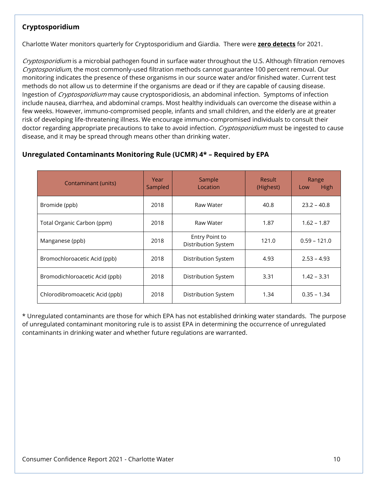#### **Cryptosporidium**

Charlotte Water monitors quarterly for Cryptosporidium and Giardia. There were **zero detects** for 2021.

Cryptosporidium is a microbial pathogen found in surface water throughout the U.S. Although filtration removes Cryptosporidium, the most commonly-used filtration methods cannot guarantee 100 percent removal. Our monitoring indicates the presence of these organisms in our source water and/or finished water. Current test methods do not allow us to determine if the organisms are dead or if they are capable of causing disease. Ingestion of *Cryptosporidium* may cause cryptosporidiosis, an abdominal infection. Symptoms of infection include nausea, diarrhea, and abdominal cramps. Most healthy individuals can overcome the disease within a few weeks. However, immuno-compromised people, infants and small children, and the elderly are at greater risk of developing life-threatening illness. We encourage immuno-compromised individuals to consult their doctor regarding appropriate precautions to take to avoid infection. Cryptosporidium must be ingested to cause disease, and it may be spread through means other than drinking water.

#### **Unregulated Contaminants Monitoring Rule (UCMR) 4\* – Required by EPA**

| Contaminant (units)            | Year<br>Sampled | Sample<br>Location                           | <b>Result</b><br>(Highest) | Range<br>High<br>Low |
|--------------------------------|-----------------|----------------------------------------------|----------------------------|----------------------|
| Bromide (ppb)                  | 2018            | Raw Water                                    | 40.8                       | $23.2 - 40.8$        |
| Total Organic Carbon (ppm)     | 2018            | Raw Water                                    | $1.62 - 1.87$<br>1.87      |                      |
| Manganese (ppb)                | 2018            | Entry Point to<br><b>Distribution System</b> | 121.0                      | $0.59 - 121.0$       |
| Bromochloroacetic Acid (ppb)   | 2018            | Distribution System                          | 4.93                       | $2.53 - 4.93$        |
| Bromodichloroacetic Acid (ppb) | 2018            | Distribution System                          | 3.31                       | $1.42 - 3.31$        |
| Chlorodibromoacetic Acid (ppb) | 2018            | Distribution System                          | 1.34                       | $0.35 - 1.34$        |

\* Unregulated contaminants are those for which EPA has not established drinking water standards. The purpose of unregulated contaminant monitoring rule is to assist EPA in determining the occurrence of unregulated contaminants in drinking water and whether future regulations are warranted.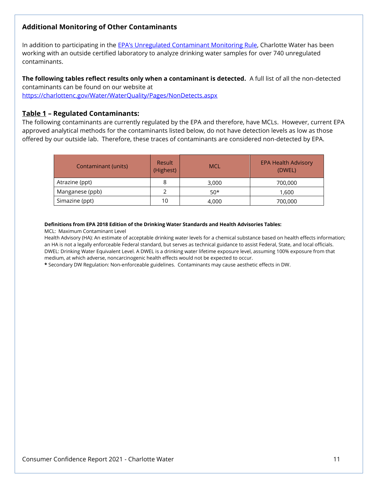#### **Additional Monitoring of Other Contaminants**

In addition to participating in the [EPA's Unregulated Contaminant Monitoring Rule](https://www.epa.gov/dwucmr), Charlotte Water has been working with an outside certified laboratory to analyze drinking water samples for over 740 unregulated contaminants.

**The following tables reflect results only when a contaminant is detected.** A full list of all the non-detected contaminants can be found on our website at

<https://charlottenc.gov/Water/WaterQuality/Pages/NonDetects.aspx>

#### **Table 1 – Regulated Contaminants:**

The following contaminants are currently regulated by the EPA and therefore, have MCLs. However, current EPA approved analytical methods for the contaminants listed below, do not have detection levels as low as those offered by our outside lab. Therefore, these traces of contaminants are considered non-detected by EPA.

| <b>Contaminant (units)</b> | <b>Result</b><br>(Highest) | <b>MCL</b> | <b>EPA Health Advisory</b><br>(DWEL) |
|----------------------------|----------------------------|------------|--------------------------------------|
| Atrazine (ppt)             | 8                          | 3,000      | 700,000                              |
| Manganese (ppb)            |                            | $50*$      | 1.600                                |
| Simazine (ppt)             | 10                         | 4,000      | 700,000                              |

#### **Definitions from EPA 2018 Edition of the Drinking Water Standards and Health Advisories Tables:**

MCL: Maximum Contaminant Level

Health Advisory (HA): An estimate of acceptable drinking water levels for a chemical substance based on health effects information; an HA is not a legally enforceable Federal standard, but serves as technical guidance to assist Federal, State, and local officials. DWEL: Drinking Water Equivalent Level. A DWEL is a drinking water lifetime exposure level, assuming 100% exposure from that medium, at which adverse, noncarcinogenic health effects would not be expected to occur.

**\*** Secondary DW Regulation: Non-enforceable guidelines. Contaminants may cause aesthetic effects in DW.